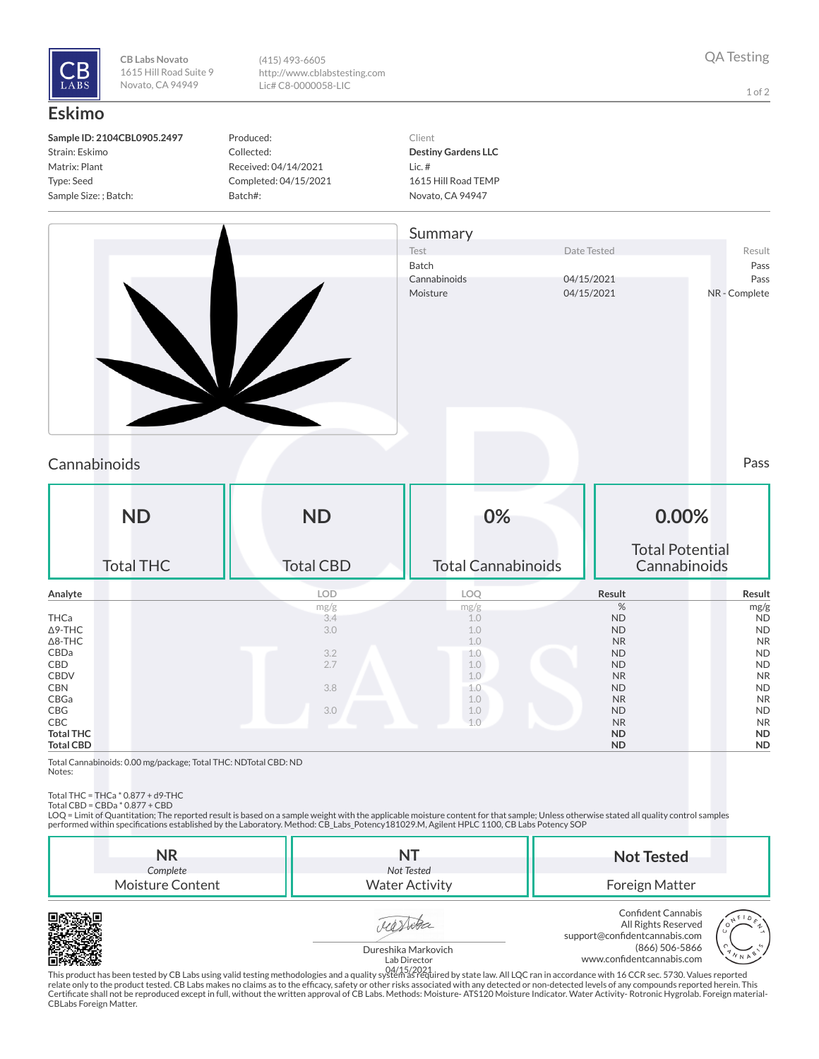

**CB Labs Novato** 1615 Hill Road Suite 9 Novato, CA 94949

(415) 493-6605 http://www.cblabstesting.com Lic# C8-0000058-LIC

1 of 2

## **Eskimo**

| Sample ID: 2104CBL0905.2497 |
|-----------------------------|
| Strain: Eskimo              |
| Matrix: Plant               |
| Type: Seed                  |
| Sample Size: ; Batch:       |

Produced: Collected: Received: 04/14/2021 Completed: 04/15/2021 Batch#:

Client **Destiny Gardens LLC** Lic. # 1615 Hill Road TEMP Novato, CA 94947



## Cannabinoids Pass

| <b>ND</b><br><b>Total THC</b> | <b>ND</b><br><b>Total CBD</b> | 0%<br><b>Total Cannabinoids</b> | 0.00%<br><b>Total Potential</b><br>Cannabinoids |           |
|-------------------------------|-------------------------------|---------------------------------|-------------------------------------------------|-----------|
| Analyte                       | <b>LOD</b>                    | LOQ                             | Result                                          | Result    |
|                               | mg/g                          | mg/g                            | %                                               | mg/g      |
| THCa                          | 3.4                           | 1.0                             | <b>ND</b>                                       | <b>ND</b> |
| $\Delta$ 9-THC                | 3.0                           | 1.0                             | <b>ND</b>                                       | <b>ND</b> |
| $\Delta$ 8-THC                |                               | 1.0                             | <b>NR</b>                                       | <b>NR</b> |
| CBDa                          | 3.2                           | 1.0                             | <b>ND</b>                                       | <b>ND</b> |
| CBD                           | 2.7                           | 1.0                             | <b>ND</b>                                       | <b>ND</b> |
| <b>CBDV</b>                   |                               | 1.0                             | <b>NR</b>                                       | <b>NR</b> |
| <b>CBN</b>                    | 3.8                           | 1.0                             | <b>ND</b>                                       | <b>ND</b> |
| CBGa                          |                               | 1.0                             | <b>NR</b>                                       | <b>NR</b> |
| CBG                           | 3.0                           | 1.0                             | <b>ND</b>                                       | <b>ND</b> |
| CBC                           |                               | 1.0                             | <b>NR</b>                                       | <b>NR</b> |
| <b>Total THC</b>              |                               |                                 | <b>ND</b>                                       | <b>ND</b> |
| <b>Total CBD</b>              |                               |                                 | <b>ND</b>                                       | <b>ND</b> |

Total Cannabinoids: 0.00 mg/package; Total THC: NDTotal CBD: ND Notes:

Total THC = THCa \* 0.877 + d9-THC Total CBD = CBDa \* 0.877 + CBD

LOQ = Limit of Quantitation; The reported result is based on a sample weight with the applicable moisture content for that sample; Unless otherwise stated all quality control samples performed within specifications established by the Laboratory. Method: CB\_Labs\_Potency181029.M, Agilent HPLC 1100, CB Labs Potency SOP

| NR<br>Complete   | Not Tested            | <b>Not Tested</b>                                                                                                   |
|------------------|-----------------------|---------------------------------------------------------------------------------------------------------------------|
| Moisture Content | <b>Water Activity</b> | Foreign Matter                                                                                                      |
|                  |                       | Confident Cannabis<br>F <sub>0</sub><br>All Rights Reserved<br>All Rights Reserved<br>support@confidentcannabis.com |







This product has been tested by CB Labs using valid testing methodologies and a quality system as required by state law. All LQC ran in accordance with 16 CCR sec. 5730. Values reported 04/15/2021relate only to the product tested. CB Labs makes no claims as to the efcacy, safety or other risks associated with any detected or non-detected levels of any compounds reported herein. This Certificate shall not be reproduced except in full, without the written approval of CB Labs. Methods: Moisture- ATS120 Moisture Indicator. Water Activity- Rotronic Hygrolab. Foreign material-<br>CBLabs Foreign Matter.

(866) 506-5866

www.confidentcannabis.com